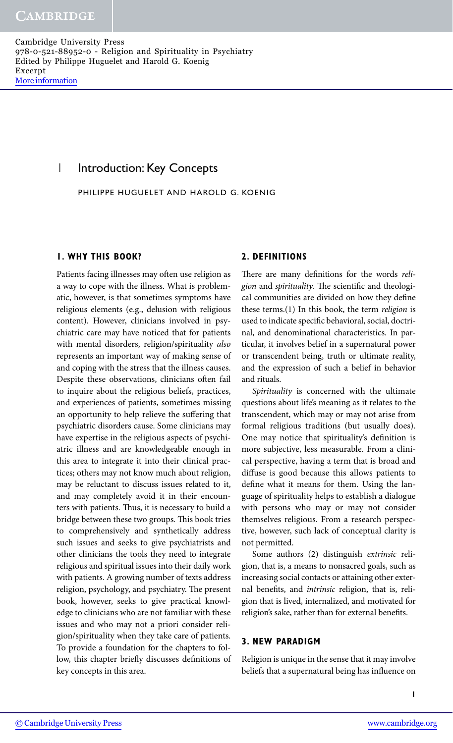## 1 Introduction: Key Concepts

PHILIPPE HUGUELET AND HAROLD G. KOENIG

## **1. WHY THIS BOOK?**

Patients facing illnesses may often use religion as a way to cope with the illness. What is problematic, however, is that sometimes symptoms have religious elements (e.g., delusion with religious content). However, clinicians involved in psychiatric care may have noticed that for patients with mental disorders, religion/spirituality *also* represents an important way of making sense of and coping with the stress that the illness causes. Despite these observations, clinicians often fail to inquire about the religious beliefs, practices, and experiences of patients, sometimes missing an opportunity to help relieve the suffering that psychiatric disorders cause. Some clinicians may have expertise in the religious aspects of psychiatric illness and are knowledgeable enough in this area to integrate it into their clinical practices; others may not know much about religion, may be reluctant to discuss issues related to it, and may completely avoid it in their encounters with patients. Thus, it is necessary to build a bridge between these two groups. This book tries to comprehensively and synthetically address such issues and seeks to give psychiatrists and other clinicians the tools they need to integrate religious and spiritual issues into their daily work with patients. A growing number of texts address religion, psychology, and psychiatry. The present book, however, seeks to give practical knowledge to clinicians who are not familiar with these issues and who may not a priori consider religion/spirituality when they take care of patients. To provide a foundation for the chapters to follow, this chapter briefly discusses definitions of key concepts in this area.

## **2. DEFINITIONS**

There are many definitions for the words *reli*gion and *spirituality*. The scientific and theological communities are divided on how they define these terms.(1) In this book, the term *religion* is used to indicate specific behavioral, social, doctrinal, and denominational characteristics. In particular, it involves belief in a supernatural power or transcendent being, truth or ultimate reality, and the expression of such a belief in behavior and rituals.

*Spirituality* is concerned with the ultimate questions about life's meaning as it relates to the transcendent, which may or may not arise from formal religious traditions (but usually does). One may notice that spirituality's definition is more subjective, less measurable. From a clinical perspective, having a term that is broad and diffuse is good because this allows patients to define what it means for them. Using the language of spirituality helps to establish a dialogue with persons who may or may not consider themselves religious. From a research perspective, however, such lack of conceptual clarity is not permitted.

 Some authors (2) distinguish *extrinsic* religion, that is, a means to nonsacred goals, such as increasing social contacts or attaining other external benefits, and *intrinsic* religion, that is, religion that is lived, internalized, and motivated for religion's sake, rather than for external benefits.

## **3. NEW PARADIGM**

 Religion is unique in the sense that it may involve beliefs that a supernatural being has influence on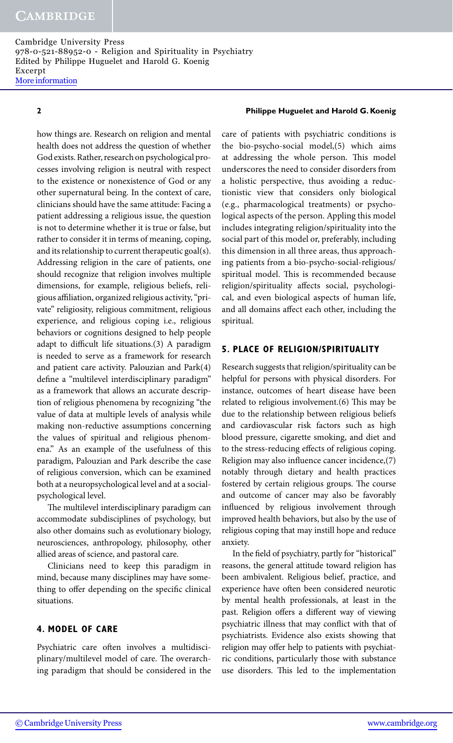how things are. Research on religion and mental health does not address the question of whether God exists. Rather, research on psychological processes involving religion is neutral with respect to the existence or nonexistence of God or any other supernatural being. In the context of care, clinicians should have the same attitude: Facing a patient addressing a religious issue, the question is not to determine whether it is true or false, but rather to consider it in terms of meaning, coping, and its relationship to current therapeutic goal(s). Addressing religion in the care of patients, one should recognize that religion involves multiple dimensions, for example, religious beliefs, religious affiliation, organized religious activity, "private" religiosity, religious commitment, religious experience, and religious coping i.e., religious behaviors or cognitions designed to help people adapt to difficult life situations. $(3)$  A paradigm is needed to serve as a framework for research and patient care activity. Palouzian and Park (4) define a "multilevel interdisciplinary paradigm" as a framework that allows an accurate description of religious phenomena by recognizing "the value of data at multiple levels of analysis while making non-reductive assumptions concerning the values of spiritual and religious phenomena." As an example of the usefulness of this paradigm, Palouzian and Park describe the case of religious conversion, which can be examined both at a neuropsychological level and at a social psychological level.

The multilevel interdisciplinary paradigm can accommodate subdisciplines of psychology, but also other domains such as evolutionary biology, neurosciences, anthropology, philosophy, other allied areas of science, and pastoral care.

 Clinicians need to keep this paradigm in mind, because many disciplines may have something to offer depending on the specific clinical situations.

## **4. MODEL OF CARE**

Psychiatric care often involves a multidisciplinary/multilevel model of care. The overarching paradigm that should be considered in the

## **2 Philippe Huguelet and Harold G. Koenig**

care of patients with psychiatric conditions is the bio-psycho-social model, (5) which aims at addressing the whole person. This model underscores the need to consider disorders from a holistic perspective, thus avoiding a reductionistic view that considers only biological (e.g., pharmacological treatments) or psychological aspects of the person. Appling this model includes integrating religion/spirituality into the social part of this model or, preferably, including this dimension in all three areas, thus approaching patients from a bio-psycho-social-religious/ spiritual model. This is recommended because religion/spirituality affects social, psychological, and even biological aspects of human life, and all domains affect each other, including the spiritual.

## **5. PLACE OF RELIGION/SPIRITUALITY**

 Research suggests that religion/spirituality can be helpful for persons with physical disorders. For instance, outcomes of heart disease have been related to religious involvement. $(6)$  This may be due to the relationship between religious beliefs and cardiovascular risk factors such as high blood pressure, cigarette smoking, and diet and to the stress-reducing effects of religious coping. Religion may also influence cancer incidence,  $(7)$ notably through dietary and health practices fostered by certain religious groups. The course and outcome of cancer may also be favorably influenced by religious involvement through improved health behaviors, but also by the use of religious coping that may instill hope and reduce anxiety.

In the field of psychiatry, partly for "historical" reasons, the general attitude toward religion has been ambivalent. Religious belief, practice, and experience have often been considered neurotic by mental health professionals, at least in the past. Religion offers a different way of viewing psychiatric illness that may conflict with that of psychiatrists. Evidence also exists showing that religion may offer help to patients with psychiatric conditions, particularly those with substance use disorders. This led to the implementation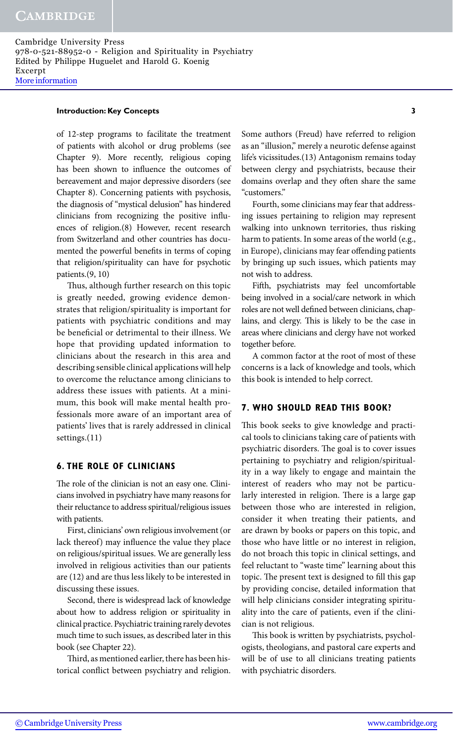### **Introduction: Key Concepts 3**

of 12-step programs to facilitate the treatment of patients with alcohol or drug problems (see Chapter 9). More recently, religious coping has been shown to influence the outcomes of bereavement and major depressive disorders (see Chapter 8). Concerning patients with psychosis, the diagnosis of "mystical delusion" has hindered clinicians from recognizing the positive influences of religion.(8) However, recent research from Switzerland and other countries has documented the powerful benefits in terms of coping that religion/spirituality can have for psychotic patients.(9, 10)

Thus, although further research on this topic is greatly needed, growing evidence demonstrates that religion/spirituality is important for patients with psychiatric conditions and may be beneficial or detrimental to their illness. We hope that providing updated information to clinicians about the research in this area and describing sensible clinical applications will help to overcome the reluctance among clinicians to address these issues with patients. At a minimum, this book will make mental health professionals more aware of an important area of patients' lives that is rarely addressed in clinical settings.(11)

## **6. THE ROLE OF CLINICIANS**

The role of the clinician is not an easy one. Clinicians involved in psychiatry have many reasons for their reluctance to address spiritual/religious issues with patients.

 First, clinicians' own religious involvement (or lack thereof) may influence the value they place on religious/spiritual issues. We are generally less involved in religious activities than our patients are (12) and are thus less likely to be interested in discussing these issues.

 Second, there is widespread lack of knowledge about how to address religion or spirituality in clinical practice. Psychiatric training rarely devotes much time to such issues, as described later in this book (see Chapter 22).

Third, as mentioned earlier, there has been historical conflict between psychiatry and religion. Some authors (Freud) have referred to religion as an "illusion," merely a neurotic defense against life's vicissitudes.(13) Antagonism remains today between clergy and psychiatrists, because their domains overlap and they often share the same "customers."

 Fourth, some clinicians may fear that addressing issues pertaining to religion may represent walking into unknown territories, thus risking harm to patients. In some areas of the world (e.g., in Europe), clinicians may fear offending patients by bringing up such issues, which patients may not wish to address.

Fifth, psychiatrists may feel uncomfortable being involved in a social/care network in which roles are not well defined between clinicians, chaplains, and clergy. This is likely to be the case in areas where clinicians and clergy have not worked together before.

 A common factor at the root of most of these concerns is a lack of knowledge and tools, which this book is intended to help correct.

## **7. WHO SHOULD READ THIS BOOK?**

This book seeks to give knowledge and practical tools to clinicians taking care of patients with psychiatric disorders. The goal is to cover issues pertaining to psychiatry and religion/spirituality in a way likely to engage and maintain the interest of readers who may not be particularly interested in religion. There is a large gap between those who are interested in religion, consider it when treating their patients, and are drawn by books or papers on this topic, and those who have little or no interest in religion, do not broach this topic in clinical settings, and feel reluctant to "waste time" learning about this topic. The present text is designed to fill this gap by providing concise, detailed information that will help clinicians consider integrating spirituality into the care of patients, even if the clinician is not religious.

This book is written by psychiatrists, psychologists, theologians, and pastoral care experts and will be of use to all clinicians treating patients with psychiatric disorders.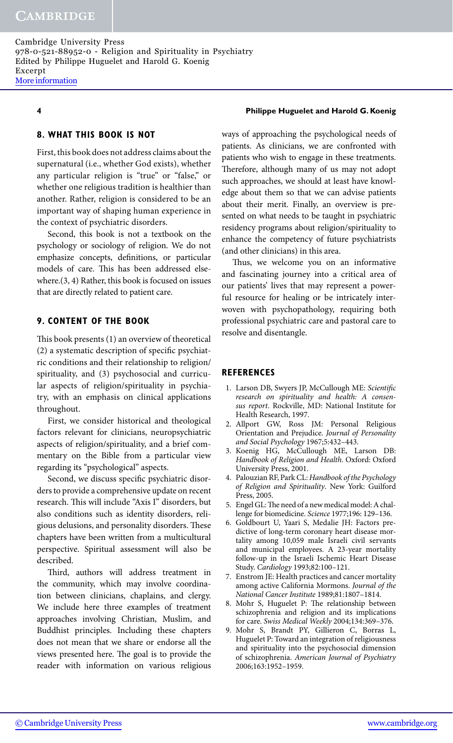## **8. WHAT THIS BOOK IS NOT**

 First, this book does not address claims about the supernatural (i.e., whether God exists), whether any particular religion is "true" or "false," or whether one religious tradition is healthier than another. Rather, religion is considered to be an important way of shaping human experience in the context of psychiatric disorders.

 Second, this book is not a textbook on the psychology or sociology of religion. We do not emphasize concepts, definitions, or particular models of care. This has been addressed elsewhere.(3, 4) Rather, this book is focused on issues that are directly related to patient care.

## **9. CONTENT OF THE BOOK**

This book presents  $(1)$  an overview of theoretical  $(2)$  a systematic description of specific psychiatric conditions and their relationship to religion/ spirituality, and (3) psychosocial and curricular aspects of religion/spirituality in psychiatry, with an emphasis on clinical applications throughout.

 First, we consider historical and theological factors relevant for clinicians, neuropsychiatric aspects of religion/spirituality, and a brief commentary on the Bible from a particular view regarding its "psychological" aspects.

Second, we discuss specific psychiatric disorders to provide a comprehensive update on recent research. This will include "Axis I" disorders, but also conditions such as identity disorders, religious delusions, and personality disorders. These chapters have been written from a multicultural perspective. Spiritual assessment will also be described.

Third, authors will address treatment in the community, which may involve coordination between clinicians, chaplains, and clergy. We include here three examples of treatment approaches involving Christian, Muslim, and Buddhist principles. Including these chapters does not mean that we share or endorse all the views presented here. The goal is to provide the reader with information on various religious

## **4 Philippe Huguelet and Harold G. Koenig**

ways of approaching the psychological needs of patients. As clinicians, we are confronted with patients who wish to engage in these treatments. Therefore, although many of us may not adopt such approaches, we should at least have knowledge about them so that we can advise patients about their merit. Finally, an overview is presented on what needs to be taught in psychiatric residency programs about religion/spirituality to enhance the competency of future psychiatrists (and other clinicians) in this area.

Thus, we welcome you on an informative and fascinating journey into a critical area of our patients' lives that may represent a powerful resource for healing or be intricately interwoven with psychopathology, requiring both professional psychiatric care and pastoral care to resolve and disentangle.

## **REFERENCES**

- 1. Larson DB, Swyers JP, McCullough ME: Scientific *research on spirituality and health: A consen*sus report. Rockville, MD: National Institute for Health Research, 1997.
- 2. Allport GW, Ross JM: Personal Religious Orientation and Prejudice. *Journal of Personality*  and Social Psychology 1967;5:432-443.
- 3. Koenig HG, McCullough ME, Larson DB: Handbook of Religion and Health. Oxford: Oxford University Press, 2001.
- 4. Palouzian RF , Park CL : *Handbook of the Psychology*  of Religion and Spirituality. New York: Guilford Press, 2005.
- 5. Engel GL: The need of a new medical model: A challenge for biomedicine . *Science* 1977 ; 196 : 129 –136.
- 6. Goldbourt U, Yaari S, Medalie JH: Factors predictive of long-term coronary heart disease mortality among 10,059 male Israeli civil servants and municipal employees. A 23-year mortality follow-up in the Israeli Ischemic Heart Disease Study. *Cardiology* 1993;82:100-121.
- 7. Enstrom JE: Health practices and cancer mortality among active California Mormons . *Journal of the National Cancer Institute* 1989 ; 81 : 1807 –1814.
- 8. Mohr S, Huguelet P: The relationship between schizophrenia and religion and its implications for care. *Swiss Medical Weekly* 2004;134:369-376.
- 9. Mohr S, Brandt PY, Gillieron C, Borras L, Huguelet P: Toward an integration of religiousness and spirituality into the psychosocial dimension of schizophrenia . *American Journal of Psychiatry* 2006 ; 163 : 1952 –1959.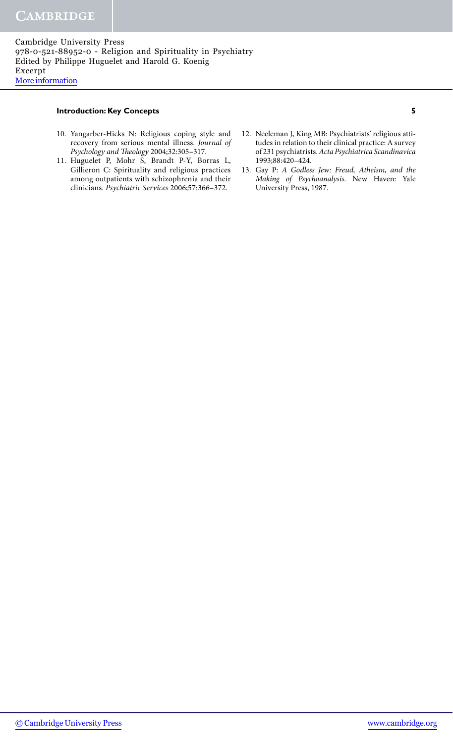### **Introduction: Key Concepts 5**

- 10. Yangarber-Hicks N: Religious coping style and recovery from serious mental illness. *Journal of Psychology and Th eology* 2004 ; 32 : 305 –317.
- 11. Huguelet P, Mohr S, Brandt P-Y, Borras L, Gillieron C: Spirituality and religious practices among outpatients with schizophrenia and their clinicians. *Psychiatric Services* 2006;57:366-372.
- 12. Neeleman J, King MB: Psychiatrists' religious attitudes in relation to their clinical practice: A survey of 231 psychiatrists . *Acta Psychiatrica Scandinavica* 1993 ; 88 : 420 –424.
- 13. Gay P: A Godless Jew: Freud, Atheism, and the *Making of Psychoanalysis*. New Haven: Yale University Press, 1987.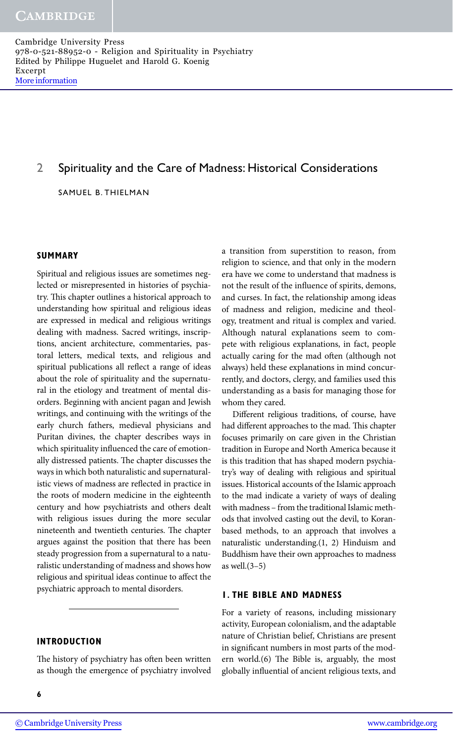## 2 Spirituality and the Care of Madness: Historical Considerations

SAMUEL B. THIELMAN

## **SUMMARY**

 Spiritual and religious issues are sometimes neglected or misrepresented in histories of psychiatry. This chapter outlines a historical approach to understanding how spiritual and religious ideas are expressed in medical and religious writings dealing with madness. Sacred writings, inscriptions, ancient architecture, commentaries, pastoral letters, medical texts, and religious and spiritual publications all reflect a range of ideas about the role of spirituality and the supernatural in the etiology and treatment of mental disorders. Beginning with ancient pagan and Jewish writings, and continuing with the writings of the early church fathers, medieval physicians and Puritan divines, the chapter describes ways in which spirituality influenced the care of emotionally distressed patients. The chapter discusses the ways in which both naturalistic and supernaturalistic views of madness are reflected in practice in the roots of modern medicine in the eighteenth century and how psychiatrists and others dealt with religious issues during the more secular nineteenth and twentieth centuries. The chapter argues against the position that there has been steady progression from a supernatural to a naturalistic understanding of madness and shows how religious and spiritual ideas continue to affect the psychiatric approach to mental disorders.

## **INTRODUCTION**

The history of psychiatry has often been written as though the emergence of psychiatry involved a transition from superstition to reason, from religion to science, and that only in the modern era have we come to understand that madness is not the result of the influence of spirits, demons, and curses. In fact, the relationship among ideas of madness and religion, medicine and theology, treatment and ritual is complex and varied. Although natural explanations seem to compete with religious explanations, in fact, people actually caring for the mad often (although not always) held these explanations in mind concurrently, and doctors, clergy, and families used this understanding as a basis for managing those for whom they cared.

Different religious traditions, of course, have had different approaches to the mad. This chapter focuses primarily on care given in the Christian tradition in Europe and North America because it is this tradition that has shaped modern psychiatry's way of dealing with religious and spiritual issues. Historical accounts of the Islamic approach to the mad indicate a variety of ways of dealing with madness – from the traditional Islamic methods that involved casting out the devil, to Koranbased methods, to an approach that involves a naturalistic understanding.(1, 2) Hinduism and Buddhism have their own approaches to madness as well.(3–5)

## **1 . THE BIBLE AND MADNESS**

 For a variety of reasons, including missionary activity, European colonialism, and the adaptable nature of Christian belief, Christians are present in significant numbers in most parts of the modern world.(6) The Bible is, arguably, the most globally influential of ancient religious texts, and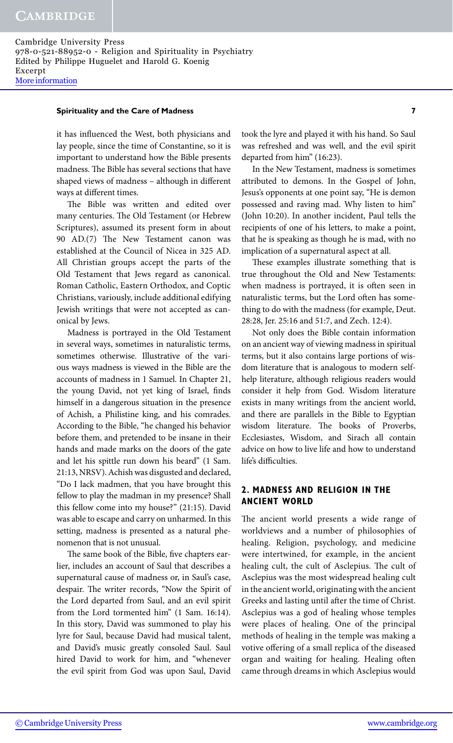## **Spirituality and the Care of Madness 7**

it has influenced the West, both physicians and lay people, since the time of Constantine, so it is important to understand how the Bible presents madness. The Bible has several sections that have shaped views of madness - although in different ways at different times.

The Bible was written and edited over many centuries. The Old Testament (or Hebrew Scriptures), assumed its present form in about 90 AD.(7) The New Testament canon was established at the Council of Nicea in 325 AD. All Christian groups accept the parts of the Old Testament that Jews regard as canonical. Roman Catholic, Eastern Orthodox, and Coptic Christians, variously, include additional edifying Jewish writings that were not accepted as canonical by Jews.

 Madness is portrayed in the Old Testament in several ways, sometimes in naturalistic terms, sometimes otherwise. Illustrative of the various ways madness is viewed in the Bible are the accounts of madness in 1 Samuel. In Chapter 21, the young David, not yet king of Israel, finds himself in a dangerous situation in the presence of Achish, a Philistine king, and his comrades. According to the Bible, "he changed his behavior before them, and pretended to be insane in their hands and made marks on the doors of the gate and let his spittle run down his beard" (1 Sam. 21:13, NRSV). Achish was disgusted and declared, "Do I lack madmen, that you have brought this fellow to play the madman in my presence? Shall this fellow come into my house?" (21:15). David was able to escape and carry on unharmed. In this setting, madness is presented as a natural phenomenon that is not unusual.

The same book of the Bible, five chapters earlier, includes an account of Saul that describes a supernatural cause of madness or, in Saul's case, despair. The writer records, "Now the Spirit of the Lord departed from Saul, and an evil spirit from the Lord tormented him" (1 Sam. 16:14). In this story, David was summoned to play his lyre for Saul, because David had musical talent, and David's music greatly consoled Saul. Saul hired David to work for him, and "whenever the evil spirit from God was upon Saul, David

took the lyre and played it with his hand. So Saul was refreshed and was well, and the evil spirit departed from him" (16:23).

 In the New Testament, madness is sometimes attributed to demons. In the Gospel of John, Jesus's opponents at one point say, "He is demon possessed and raving mad. Why listen to him" (John 10:20). In another incident, Paul tells the recipients of one of his letters, to make a point, that he is speaking as though he is mad, with no implication of a supernatural aspect at all.

These examples illustrate something that is true throughout the Old and New Testaments: when madness is portrayed, it is often seen in naturalistic terms, but the Lord often has something to do with the madness (for example, Deut. 28:28, Jer. 25:16 and 51:7, and Zech. 12:4).

 Not only does the Bible contain information on an ancient way of viewing madness in spiritual terms, but it also contains large portions of wisdom literature that is analogous to modern selfhelp literature, although religious readers would consider it help from God. Wisdom literature exists in many writings from the ancient world, and there are parallels in the Bible to Egyptian wisdom literature. The books of Proverbs, Ecclesiastes, Wisdom, and Sirach all contain advice on how to live life and how to understand life's difficulties.

## **2 . MADNESS AND RELIGION IN THE ANCIENT WORLD**

The ancient world presents a wide range of worldviews and a number of philosophies of healing. Religion, psychology, and medicine were intertwined, for example, in the ancient healing cult, the cult of Asclepius. The cult of Asclepius was the most widespread healing cult in the ancient world, originating with the ancient Greeks and lasting until after the time of Christ. Asclepius was a god of healing whose temples were places of healing. One of the principal methods of healing in the temple was making a votive offering of a small replica of the diseased organ and waiting for healing. Healing often came through dreams in which Asclepius would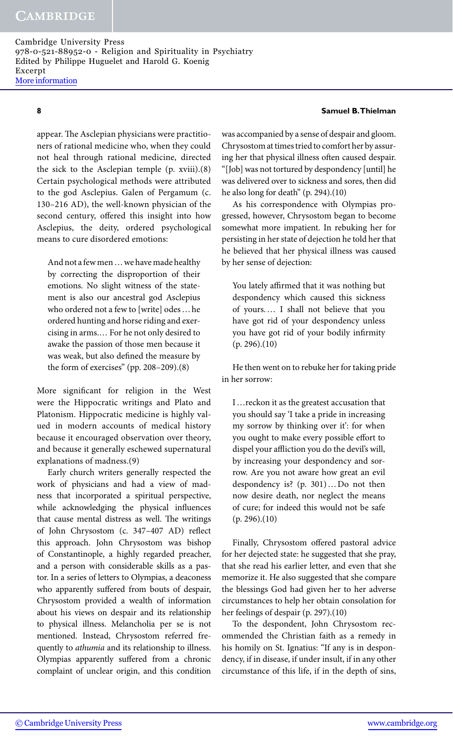appear. The Asclepian physicians were practitioners of rational medicine who, when they could not heal through rational medicine, directed the sick to the Asclepian temple (p. xviii).(8) Certain psychological methods were attributed to the god Asclepius. Galen of Pergamum (c. 130–216 AD), the well-known physician of the second century, offered this insight into how Asclepius, the deity, ordered psychological means to cure disordered emotions:

And not a few men … we have made healthy by correcting the disproportion of their emotions. No slight witness of the statement is also our ancestral god Asclepius who ordered not a few to [write] odes … he ordered hunting and horse riding and exercising in arms.… For he not only desired to awake the passion of those men because it was weak, but also defined the measure by the form of exercises" (pp. 208–209).(8)

More significant for religion in the West were the Hippocratic writings and Plato and Platonism. Hippocratic medicine is highly valued in modern accounts of medical history because it encouraged observation over theory, and because it generally eschewed supernatural explanations of madness.(9)

 Early church writers generally respected the work of physicians and had a view of madness that incorporated a spiritual perspective, while acknowledging the physical influences that cause mental distress as well. The writings of John Chrysostom (c. 347-407 AD) reflect this approach. John Chrysostom was bishop of Constantinople, a highly regarded preacher, and a person with considerable skills as a pastor. In a series of letters to Olympias, a deaconess who apparently suffered from bouts of despair, Chrysostom provided a wealth of information about his views on despair and its relationship to physical illness. Melancholia per se is not mentioned. Instead, Chrysostom referred frequently to *athumia* and its relationship to illness. Olympias apparently suffered from a chronic complaint of unclear origin, and this condition

## was accompanied by a sense of despair and gloom. Chrysostom at times tried to comfort her by assuring her that physical illness often caused despair. "[Job] was not tortured by despondency [until] he was delivered over to sickness and sores, then did

he also long for death" (p. 294).(10) As his correspondence with Olympias progressed, however, Chrysostom began to become somewhat more impatient. In rebuking her for persisting in her state of dejection he told her that he believed that her physical illness was caused by her sense of dejection:

You lately affirmed that it was nothing but despondency which caused this sickness of yours. … I shall not believe that you have got rid of your despondency unless you have got rid of your bodily infirmity (p. 296).(10)

He then went on to rebuke her for taking pride in her sorrow:

I …reckon it as the greatest accusation that you should say 'I take a pride in increasing my sorrow by thinking over it': for when you ought to make every possible effort to dispel your affliction you do the devil's will, by increasing your despondency and sorrow. Are you not aware how great an evil despondency is? (p. 301) … Do not then now desire death, nor neglect the means of cure; for indeed this would not be safe  $(p. 296)$ .  $(10)$ 

Finally, Chrysostom offered pastoral advice for her dejected state: he suggested that she pray, that she read his earlier letter, and even that she memorize it. He also suggested that she compare the blessings God had given her to her adverse circumstances to help her obtain consolation for her feelings of despair (p. 297).(10)

 To the despondent, John Chrysostom recommended the Christian faith as a remedy in his homily on St. Ignatius: "If any is in despondency, if in disease, if under insult, if in any other circumstance of this life, if in the depth of sins,

## **8 Samuel B. Thielman**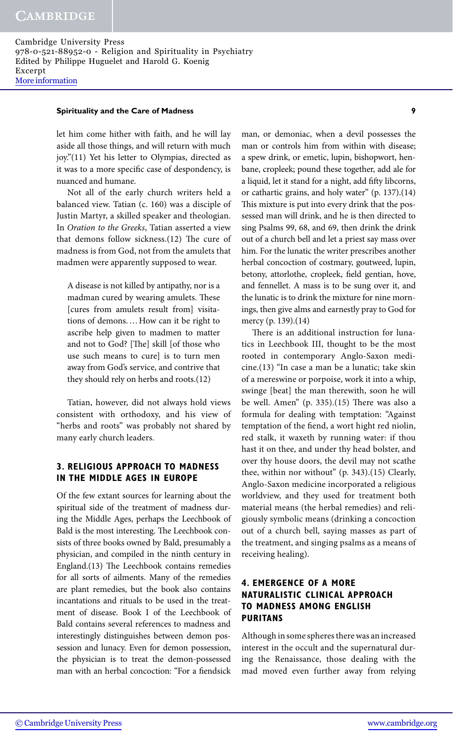## **Spirituality and the Care of Madness 9**

let him come hither with faith, and he will lay aside all those things, and will return with much joy." (11) Yet his letter to Olympias, directed as it was to a more specific case of despondency, is nuanced and humane.

 Not all of the early church writers held a balanced view. Tatian (c. 160) was a disciple of Justin Martyr, a skilled speaker and theologian. In *Oration to the Greeks*, Tatian asserted a view that demons follow sickness. $(12)$  The cure of madness is from God, not from the amulets that madmen were apparently supposed to wear.

A disease is not killed by antipathy, nor is a madman cured by wearing amulets. These [cures from amulets result from] visitations of demons. … How can it be right to ascribe help given to madmen to matter and not to God? [The] skill [of those who use such means to cure] is to turn men away from God's service, and contrive that they should rely on herbs and roots.(12)

Tatian, however, did not always hold views consistent with orthodoxy, and his view of "herbs and roots" was probably not shared by many early church leaders.

## **3 . RELIGIOUS APPROACH TO MADNESS IN THE MIDDLE AGES IN EUROPE**

 Of the few extant sources for learning about the spiritual side of the treatment of madness during the Middle Ages, perhaps the Leechbook of Bald is the most interesting. The Leechbook consists of three books owned by Bald, presumably a physician, and compiled in the ninth century in England.(13) The Leechbook contains remedies for all sorts of ailments. Many of the remedies are plant remedies, but the book also contains incantations and rituals to be used in the treatment of disease. Book I of the Leechbook of Bald contains several references to madness and interestingly distinguishes between demon possession and lunacy. Even for demon possession, the physician is to treat the demon-possessed man with an herbal concoction: "For a fiendsick

man, or demoniac, when a devil possesses the man or controls him from within with disease; a spew drink, or emetic, lupin, bishopwort, henbane, cropleek; pound these together, add ale for a liquid, let it stand for a night, add fifty libcorns, or cathartic grains, and holy water" (p. 137).(14) This mixture is put into every drink that the possessed man will drink, and he is then directed to sing Psalms 99, 68, and 69, then drink the drink out of a church bell and let a priest say mass over him. For the lunatic the writer prescribes another herbal concoction of costmary, goutweed, lupin, betony, attorlothe, cropleek, field gentian, hove, and fennellet. A mass is to be sung over it, and the lunatic is to drink the mixture for nine mornings, then give alms and earnestly pray to God for mercy (p. 139).(14)

There is an additional instruction for lunatics in Leechbook III, thought to be the most rooted in contemporary Anglo-Saxon medicine.(13) "In case a man be a lunatic; take skin of a mereswine or porpoise, work it into a whip, swinge [beat] the man therewith, soon he will be well. Amen" (p. 335). $(15)$  There was also a formula for dealing with temptation: "Against temptation of the fiend, a wort hight red niolin, red stalk, it waxeth by running water: if thou hast it on thee, and under thy head bolster, and over thy house doors, the devil may not scathe thee, within nor without" (p. 343).(15) Clearly, Anglo-Saxon medicine incorporated a religious worldview, and they used for treatment both material means (the herbal remedies) and religiously symbolic means (drinking a concoction out of a church bell, saying masses as part of the treatment, and singing psalms as a means of receiving healing).

## **4 . EMERGENCE OF A MORE NATURALISTIC CLINICAL APPROACH TO MADNESS AMONG ENGLISH PURITANS**

 Although in some spheres there was an increased interest in the occult and the supernatural during the Renaissance, those dealing with the mad moved even further away from relying